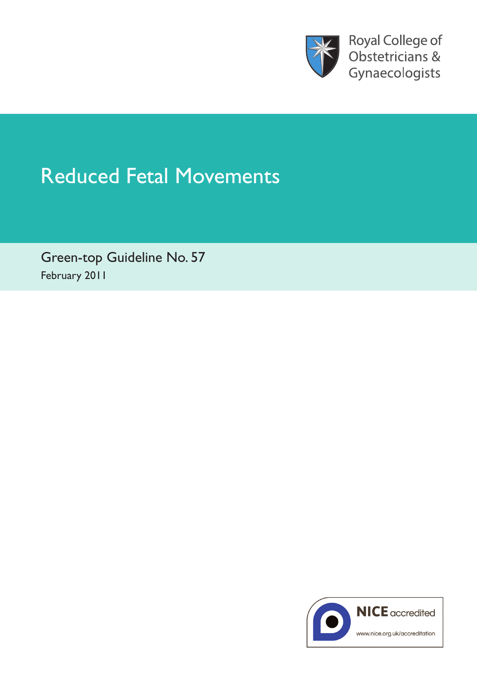

Royal College of Obstetricians & Gynaecologists

# Reduced Fetal Movements

Green-top Guideline No. 57 February 2011

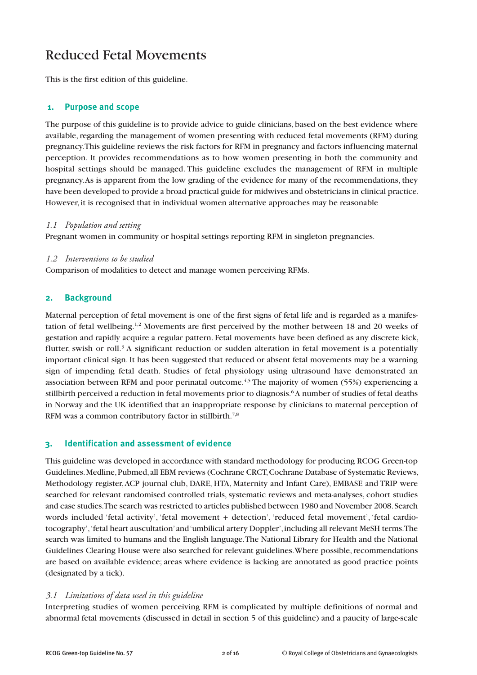# Reduced Fetal Movements

This is the first edition of this guideline.

#### **1. Purpose and scope**

The purpose of this guideline is to provide advice to guide clinicians, based on the best evidence where available, regarding the management of women presenting with reduced fetal movements (RFM) during pregnancy.This guideline reviews the risk factors for RFM in pregnancy and factors influencing maternal perception. It provides recommendations as to how women presenting in both the community and hospital settings should be managed. This guideline excludes the management of RFM in multiple pregnancy.As is apparent from the low grading of the evidence for many of the recommendations, they have been developed to provide a broad practical guide for midwives and obstetricians in clinical practice. However, it is recognised that in individual women alternative approaches may be reasonable

#### *1.1 Population and setting*

Pregnant women in community or hospital settings reporting RFM in singleton pregnancies.

#### *1.2 Interventions to be studied*

Comparison of modalities to detect and manage women perceiving RFMs.

# **2. Background**

Maternal perception of fetal movement is one of the first signs of fetal life and is regarded as a manifestation of fetal wellbeing.<sup>1,2</sup> Movements are first perceived by the mother between 18 and 20 weeks of gestation and rapidly acquire a regular pattern. Fetal movements have been defined as any discrete kick, flutter, swish or roll.<sup>3</sup> A significant reduction or sudden alteration in fetal movement is a potentially important clinical sign. It has been suggested that reduced or absent fetal movements may be a warning sign of impending fetal death. Studies of fetal physiology using ultrasound have demonstrated an association between RFM and poor perinatal outcome.<sup>4,5</sup> The majority of women (55%) experiencing a stillbirth perceived a reduction in fetal movements prior to diagnosis. 6A number of studies of fetal deaths in Norway and the UK identified that an inappropriate response by clinicians to maternal perception of RFM was a common contributory factor in stillbirth.<sup>7,8</sup>

#### **3. Identification and assessment of evidence**

This guideline was developed in accordance with standard methodology for producing RCOG Green-top Guidelines.Medline,Pubmed,all EBM reviews (Cochrane CRCT,Cochrane Database of Systematic Reviews, Methodology register,ACP journal club, DARE, HTA, Maternity and Infant Care), EMBASE and TRIP were searched for relevant randomised controlled trials, systematic reviews and meta-analyses, cohort studies and case studies.The search was restricted to articles published between 1980 and November 2008.Search words included 'fetal activity', 'fetal movement + detection', 'reduced fetal movement', 'fetal cardiotocography','fetal heart auscultation'and'umbilical artery Doppler',including all relevant MeSH terms.The search was limited to humans and the English language.The National Library for Health and the National Guidelines Clearing House were also searched for relevant guidelines. Where possible, recommendations are based on available evidence; areas where evidence is lacking are annotated as good practice points (designated by a tick).

#### *3.1 Limitations of data used in this guideline*

Interpreting studies of women perceiving RFM is complicated by multiple definitions of normal and abnormal fetal movements (discussed in detail in section 5 of this guideline) and a paucity of large-scale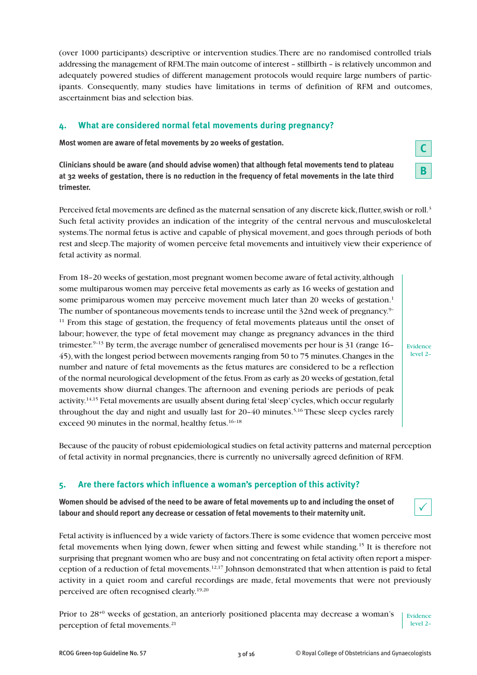(over 1000 participants) descriptive or intervention studies.There are no randomised controlled trials addressing the management of RFM.The main outcome of interest – stillbirth – is relatively uncommon and adequately powered studies of different management protocols would require large numbers of participants. Consequently, many studies have limitations in terms of definition of RFM and outcomes, ascertainment bias and selection bias.

# **4. What are considered normal fetal movements during pregnancy?**

**Most women are aware of fetal movements by 20 weeks of gestation.**

**Clinicians should be aware (and should advise women) that although fetal movements tend to plateau** at 32 weeks of gestation, there is no reduction in the frequency of fetal movements in the late third **trimester.**

Perceived fetal movements are defined as the maternal sensation of any discrete kick, flutter, swish or roll. $^3$ Such fetal activity provides an indication of the integrity of the central nervous and musculoskeletal systems.The normal fetus is active and capable of physical movement, and goes through periods of both rest and sleep.The majority of women perceive fetal movements and intuitively view their experience of fetal activity as normal.

From 18–20 weeks of gestation, most pregnant women become aware of fetal activity, although some multiparous women may perceive fetal movements as early as 16 weeks of gestation and some primiparous women may perceive movement much later than 20 weeks of gestation.<sup>1</sup> The number of spontaneous movements tends to increase until the 32nd week of pregnancy. 9–  $11$  From this stage of gestation, the frequency of fetal movements plateaus until the onset of labour; however, the type of fetal movement may change as pregnancy advances in the third trimester.<sup>9-13</sup> By term, the average number of generalised movements per hour is 31 (range  $16$ – 45),with the longest period between movements ranging from 50 to 75 minutes.Changes in the number and nature of fetal movements as the fetus matures are considered to be a reflection of the normal neurological development of the fetus.From as early as 20 weeks of gestation,fetal movements show diurnal changes.The afternoon and evening periods are periods of peak activity.<sup>14,15</sup> Fetal movements are usually absent during fetal 'sleep' cycles, which occur regularly throughout the day and night and usually last for 20–40 minutes. 5,16 These sleep cycles rarely exceed 90 minutes in the normal, healthy fetus. 16–18

Because of the paucity of robust epidemiological studies on fetal activity patterns and maternal perception of fetal activity in normal pregnancies, there is currently no universally agreed definition of RFM.

# **5. Are there factors which influence a woman's perception of this activity?**

Women should be advised of the need to be aware of fetal movements up to and including the onset of **labour and should report any decrease or cessation of fetal movements to their maternity unit.**

Fetal activity is influenced by a wide variety of factors.There is some evidence that women perceive most fetal movements when lying down, fewer when sitting and fewest while standing. <sup>15</sup> It is therefore not surprising that pregnant women who are busy and not concentrating on fetal activity often report a misperception of a reduction of fetal movements. 12,17 Johnson demonstrated that when attention is paid to fetal activity in a quiet room and careful recordings are made, fetal movements that were not previously perceived are often recognised clearly. 19,20

Prior to 28+0 weeks of gestation, an anteriorly positioned placenta may decrease a woman's perception of fetal movements. 21 Evidence level 2–

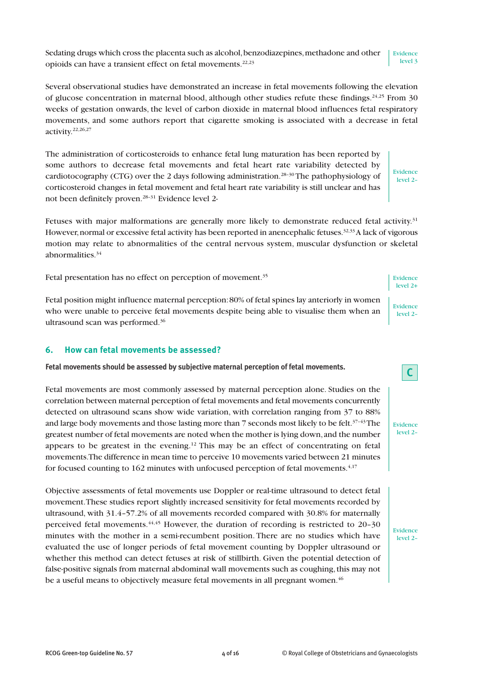Sedating drugs which cross the placenta such as alcohol, benzodiazepines, methadone and other opioids can have a transient effect on fetal movements. 22,23 Evidence level 3

Several observational studies have demonstrated an increase in fetal movements following the elevation of glucose concentration in maternal blood, although other studies refute these findings.<sup>24,25</sup> From 30 weeks of gestation onwards, the level of carbon dioxide in maternal blood influences fetal respiratory movements, and some authors report that cigarette smoking is associated with a decrease in fetal activity. 22,26,27

The administration of corticosteroids to enhance fetal lung maturation has been reported by some authors to decrease fetal movements and fetal heart rate variability detected by cardiotocography (CTG) over the 2 days following administration.<sup>28-30</sup>The pathophysiology of corticosteroid changes in fetal movement and fetal heart rate variability is still unclear and has not been definitely proven.<sup>28-31</sup> Evidence level 2-

Fetuses with major malformations are generally more likely to demonstrate reduced fetal activity.<sup>31</sup> However, normal or excessive fetal activity has been reported in anencephalic fetuses.<sup>32,33</sup> A lack of vigorous motion may relate to abnormalities of the central nervous system, muscular dysfunction or skeletal abnormalities. 34

Fetal presentation has no effect on perception of movement.<sup>35</sup>

Fetal position might influence maternal perception:80% of fetal spines lay anteriorly in women who were unable to perceive fetal movements despite being able to visualise them when an ultrasound scan was performed. 36

#### **6. How can fetal movements be assessed?**

**Fetal movements should be assessed by subjective maternal perception of fetal movements.**

Fetal movements are most commonly assessed by maternal perception alone. Studies on the correlation between maternal perception of fetal movements and fetal movements concurrently detected on ultrasound scans show wide variation, with correlation ranging from 37 to 88% and large body movements and those lasting more than  $7$  seconds most likely to be felt. $^{37-43}\mathrm{The}$ greatest number of fetal movements are noted when the mother is lying down,and the number appears to be greatest in the evening. <sup>12</sup> This may be an effect of concentrating on fetal movements.The difference in mean time to perceive 10 movements varied between 21 minutes for focused counting to 162 minutes with unfocused perception of fetal movements.<sup>4,17</sup>

Objective assessments of fetal movements use Doppler or real-time ultrasound to detect fetal movement.These studies report slightly increased sensitivity for fetal movements recorded by ultrasound, with 31.4–57.2% of all movements recorded compared with 30.8% for maternally perceived fetal movements.<sup>44,45</sup> However, the duration of recording is restricted to 20-30 minutes with the mother in a semi-recumbent position. There are no studies which have evaluated the use of longer periods of fetal movement counting by Doppler ultrasound or whether this method can detect fetuses at risk of stillbirth. Given the potential detection of false-positive signals from maternal abdominal wall movements such as coughing, this may not be a useful means to objectively measure fetal movements in all pregnant women. $^{46}$ 

Evidence level 2+

Evidence level 2–

Evidence level 2–

**C**

Evidence level 2–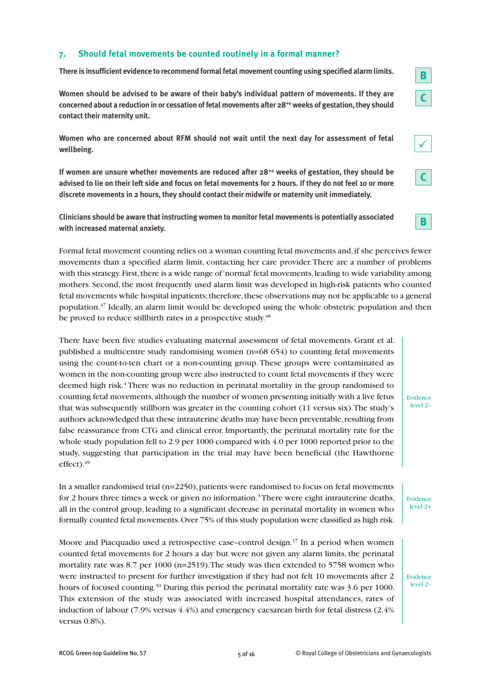# **7. Should fetal movements be counted routinely in a formal manner?**

**There is insufficient evidence to recommend formal fetal movement counting using specified alarm limits.**

**Women should be advised to be aware of their baby's individual pattern of movements. If they are concerned about a reduction in or cessation of fetal movements after 28+0 weeks of gestation,they should contact their maternity unit.**

**Women who are concerned about RFM should not wait until the next day for assessment of fetal wellbeing.**

**If women are unsure whether movements are reduced after 28+0 weeks of gestation, they should be** advised to lie on their left side and focus on fetal movements for 2 hours. If they do not feel 10 or more **discrete movements in 2 hours, they should contact their midwife or maternity unit immediately.**

**Clinicians should be aware that instructing women to monitorfetal movements is potentially associated with increased maternal anxiety.**

Formal fetal movement counting relies on a woman counting fetal movements and,if she perceives fewer movements than a specified alarm limit, contacting her care provider.There are a number of problems with this strategy. First, there is a wide range of 'normal' fetal movements, leading to wide variability among mothers. Second, the most frequently used alarm limit was developed in high-risk patients who counted fetal movements while hospital inpatients;therefore,these observations may not be applicable to a general population. <sup>47</sup> Ideally, an alarm limit would be developed using the whole obstetric population and then be proved to reduce stillbirth rates in a prospective study.<sup>48</sup>

There have been five studies evaluating maternal assessment of fetal movements. Grant et al. published a multicentre study randomising women (n=68 654) to counting fetal movements using the count-to-ten chart or a non-counting group.These groups were contaminated as women in the non-counting group were also instructed to count fetal movements if they were deemed high risk. <sup>4</sup> There was no reduction in perinatal mortality in the group randomised to counting fetal movements, although the number of women presenting initially with a live fetus that was subsequently stillborn was greater in the counting cohort (11 versus six).The study's authors acknowledged that these intrauterine deaths may have been preventable, resulting from false reassurance from CTG and clinical error. Importantly, the perinatal mortality rate for the whole study population fell to 2.9 per 1000 compared with 4.0 per 1000 reported prior to the study, suggesting that participation in the trial may have been beneficial (the Hawthorne effect). 49

In a smaller randomised trial ( $n=2250$ ), patients were randomised to focus on fetal movements for 2 hours three times a week or given no information. 3There were eight intrauterine deaths, all in the control group, leading to a significant decrease in perinatal mortality in women who formally counted fetal movements.Over 75% of this study population were classified as high risk.

Moore and Piacquadio used a retrospective case-control design.<sup>17</sup> In a period when women counted fetal movements for 2 hours a day but were not given any alarm limits, the perinatal mortality rate was 8.7 per 1000 (n=2519).The study was then extended to 5758 women who were instructed to present for further investigation if they had not felt 10 movements after 2 hours of focused counting.<sup>50</sup> During this period the perinatal mortality rate was 3.6 per 1000. This extension of the study was associated with increased hospital attendances, rates of induction of labour (7.9% versus 4.4%) and emergency caesarean birth for fetal distress (2.4% versus 0.8%).

Evidence level 2–

**B**

**C**

 $\checkmark$ 

**C**

**B**

Evidence level 2+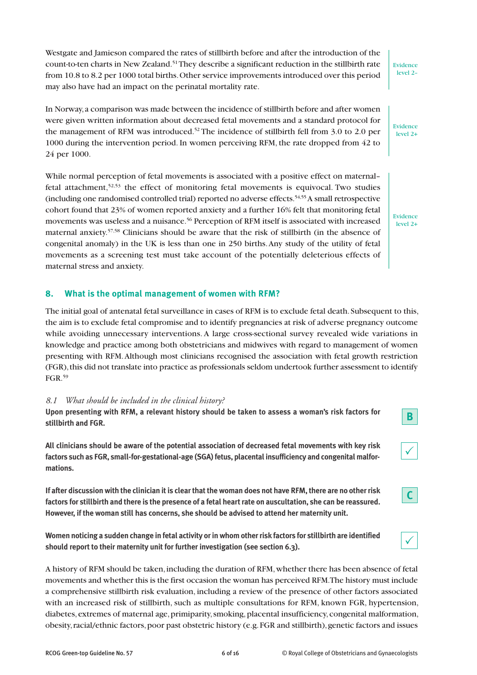Westgate and Jamieson compared the rates of stillbirth before and after the introduction of the count-to-ten charts in New Zealand. 51They describe a significant reduction in the stillbirth rate from 10.8 to 8.2 per 1000 total births.Other service improvements introduced over this period may also have had an impact on the perinatal mortality rate.

In Norway,a comparison was made between the incidence of stillbirth before and after women were given written information about decreased fetal movements and a standard protocol for the management of RFM was introduced.<sup>52</sup> The incidence of stillbirth fell from 3.0 to 2.0 per 1000 during the intervention period. In women perceiving RFM, the rate dropped from 42 to 24 per 1000.

While normal perception of fetal movements is associated with a positive effect on maternal– fetal attachment, 52,53 the effect of monitoring fetal movements is equivocal. Two studies (including one randomised controlled trial) reported no adverse effects. 54,55A small retrospective cohort found that 23% of women reported anxiety and a further 16% felt that monitoring fetal movements was useless and a nuisance. <sup>56</sup> Perception of RFM itself is associated with increased maternal anxiety. 57,58 Clinicians should be aware that the risk of stillbirth (in the absence of congenital anomaly) in the UK is less than one in 250 births.Any study of the utility of fetal movements as a screening test must take account of the potentially deleterious effects of maternal stress and anxiety.

# **8. What is the optimal management of women with RFM?**

The initial goal of antenatal fetal surveillance in cases of RFM is to exclude fetal death. Subsequent to this, the aim is to exclude fetal compromise and to identify pregnancies at risk of adverse pregnancy outcome while avoiding unnecessary interventions. A large cross-sectional survey revealed wide variations in knowledge and practice among both obstetricians and midwives with regard to management of women presenting with RFM.Although most clinicians recognised the association with fetal growth restriction (FGR),this did not translate into practice as professionals seldom undertook further assessment to identify FGR. 59

#### *8.1 What should be included in the clinical history?*

**Upon presenting with RFM, a relevant history should be taken to assess a woman's risk factors for stillbirth and FGR.**

**All clinicians should be aware of the potential association of decreased fetal movements with key risk factors such as FGR, small-for-gestational-age (SGA)fetus, placental insufficiency and congenital malformations.**

If after discussion with the clinician it is clear that the woman does not have RFM, there are no other risk factors for stillbirth and there is the presence of a fetal heart rate on auscultation, she can be reassured. **However, if the woman still has concerns, she should be advised to attend her maternity unit.**

**Women noticing a sudden change in fetal activity orin whom otherrisk factors for stillbirth are identified should report to their maternity unit for further investigation (see section 6.3).**

A history of RFM should be taken, including the duration of RFM, whether there has been absence of fetal movements and whether this is the first occasion the woman has perceived RFM.The history must include a comprehensive stillbirth risk evaluation, including a review of the presence of other factors associated with an increased risk of stillbirth, such as multiple consultations for RFM, known FGR, hypertension, diabetes, extremes of maternal age, primiparity, smoking, placental insufficiency, congenital malformation, obesity,racial/ethnic factors,poor past obstetric history (e.g.FGR and stillbirth),genetic factors and issues

level 2+

Evidence

Evidence level 2–



|--|





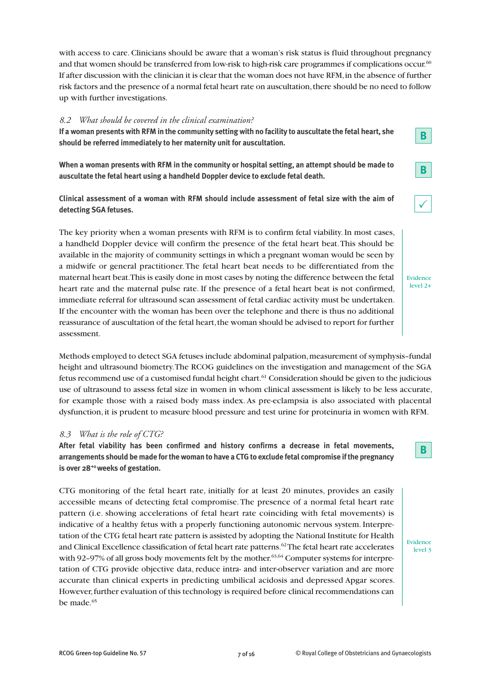with access to care. Clinicians should be aware that a woman's risk status is fluid throughout pregnancy and that women should be transferred from low-risk to high-risk care programmes if complications occur. $^{60}$ If after discussion with the clinician it is clear that the woman does not have RFM,in the absence of further risk factors and the presence of a normal fetal heart rate on auscultation,there should be no need to follow up with further investigations.

#### *8.2 What should be covered in the clinical examination?*

If a woman presents with RFM in the community setting with no facility to auscultate the fetal heart, she **should be referred immediately to her maternity unit for auscultation.**

**When a woman presents with RFM in the community or hospital setting, an attempt should be made to auscultate the fetal heart using a handheld Doppler device to exclude fetal death.**

**Clinical assessment of a woman with RFM should include assessment of fetal size with the aim of detecting SGA fetuses.**

The key priority when a woman presents with RFM is to confirm fetal viability. In most cases, a handheld Doppler device will confirm the presence of the fetal heart beat.This should be available in the majority of community settings in which a pregnant woman would be seen by a midwife or general practitioner.The fetal heart beat needs to be differentiated from the maternal heart beat.This is easily done in most cases by noting the difference between the fetal heart rate and the maternal pulse rate. If the presence of a fetal heart beat is not confirmed, immediate referral for ultrasound scan assessment of fetal cardiac activity must be undertaken. If the encounter with the woman has been over the telephone and there is thus no additional reassurance of auscultation of the fetal heart, the woman should be advised to report for further assessment.

Methods employed to detect SGA fetuses include abdominal palpation, measurement of symphysis-fundal height and ultrasound biometry.The RCOG guidelines on the investigation and management of the SGA fetus recommend use of a customised fundal height chart. <sup>61</sup> Consideration should be given to the judicious use of ultrasound to assess fetal size in women in whom clinical assessment is likely to be less accurate, for example those with a raised body mass index. As pre-eclampsia is also associated with placental dysfunction, it is prudent to measure blood pressure and test urine for proteinuria in women with RFM.

#### *8.3 What is the role of CTG?*

**After fetal viability has been confirmed and history confirms a decrease in fetal movements, arrangements should be made forthe woman to have a CTG to exclude fetal compromise ifthe pregnancy is over 28+0weeks of gestation.**

CTG monitoring of the fetal heart rate, initially for at least 20 minutes, provides an easily accessible means of detecting fetal compromise.The presence of a normal fetal heart rate pattern (i.e. showing accelerations of fetal heart rate coinciding with fetal movements) is indicative of a healthy fetus with a properly functioning autonomic nervous system. Interpretation of the CTG fetal heart rate pattern is assisted by adopting the National Institute for Health and Clinical Excellence classification of fetal heart rate patterns. 62The fetal heart rate accelerates with 92-97% of all gross body movements felt by the mother.<sup>63,64</sup> Computer systems for interpretation of CTG provide objective data, reduce intra- and inter-observer variation and are more accurate than clinical experts in predicting umbilical acidosis and depressed Apgar scores. However,further evaluation of this technology is required before clinical recommendations can be made. 65

Evidence level 2+

**B**

**B**

 $\checkmark$ 

**B**

Evidence level 3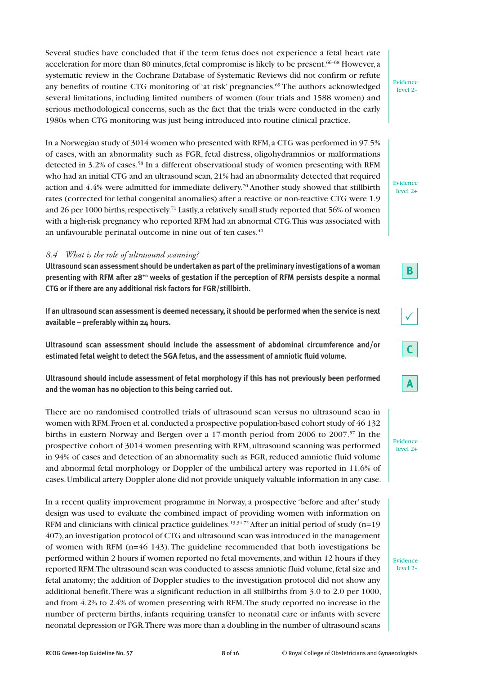Several studies have concluded that if the term fetus does not experience a fetal heart rate acceleration for more than 80 minutes, fetal compromise is likely to be present. $^{66-68}$  However, a systematic review in the Cochrane Database of Systematic Reviews did not confirm or refute any benefits of routine CTG monitoring of 'at risk' pregnancies. <sup>69</sup> The authors acknowledged several limitations, including limited numbers of women (four trials and 1588 women) and serious methodological concerns, such as the fact that the trials were conducted in the early 1980s when CTG monitoring was just being introduced into routine clinical practice.

In a Norwegian study of 3014 women who presented with RFM,a CTG was performed in 97.5% of cases, with an abnormality such as FGR, fetal distress, oligohydramnios or malformations detected in 3.2% of cases. <sup>58</sup> In a different observational study of women presenting with RFM who had an initial CTG and an ultrasound scan,21% had an abnormality detected that required action and 4.4% were admitted for immediate delivery. <sup>70</sup> Another study showed that stillbirth rates (corrected for lethal congenital anomalies) after a reactive or non-reactive CTG were 1.9 and 26 per 1000 births, respectively.<sup>71</sup> Lastly, a relatively small study reported that 56% of women with a high-risk pregnancy who reported RFM had an abnormal CTG.This was associated with an unfavourable perinatal outcome in nine out of ten cases. $^{40}$ 

#### *8.4 What is the role of ultrasound scanning?*

**Ultrasound scan assessment should be undertaken as part ofthe preliminary investigations of a woman presenting with RFM after 28+0 weeks of gestation if the perception of RFM persists despite a normal CTG or if there are any additional risk factors for FGR/stillbirth.**

**If an ultrasound scan assessment is deemed necessary, it should be performed when the service is next available – preferably within 24 hours.**

**Ultrasound scan assessment should include the assessment of abdominal circumference and/or estimated fetal weight to detect the SGA fetus, and the assessment of amniotic fluid volume.**

**Ultrasound should include assessment of fetal morphology if this has not previously been performed and the woman has no objection to this being carried out.**

There are no randomised controlled trials of ultrasound scan versus no ultrasound scan in women with RFM.Froen et al.conducted a prospective population-based cohort study of 46 132 births in eastern Norway and Bergen over a 17-month period from 2006 to 2007. <sup>57</sup> In the prospective cohort of 3014 women presenting with RFM,ultrasound scanning was performed in 94% of cases and detection of an abnormality such as FGR, reduced amniotic fluid volume and abnormal fetal morphology or Doppler of the umbilical artery was reported in 11.6% of cases.Umbilical artery Doppler alone did not provide uniquely valuable information in any case.

In a recent quality improvement programme in Norway, a prospective 'before and after'study design was used to evaluate the combined impact of providing women with information on RFM and clinicians with clinical practice guidelines. $^{13,34,72}$  After an initial period of study (n=19 407),an investigation protocol of CTG and ultrasound scan was introduced in the management of women with RFM  $(n=46 \ 143)$ . The guideline recommended that both investigations be performed within 2 hours if women reported no fetal movements, and within 12 hours if they reported RFM.The ultrasound scan was conducted to assess amniotic fluid volume,fetal size and fetal anatomy; the addition of Doppler studies to the investigation protocol did not show any additional benefit.There was a significant reduction in all stillbirths from 3.0 to 2.0 per 1000, and from 4.2% to 2.4% of women presenting with RFM.The study reported no increase in the number of preterm births, infants requiring transfer to neonatal care or infants with severe neonatal depression or FGR.There was more than a doubling in the number of ultrasound scans

Evidence level 2–

Evidence level 2+



**B**





Evidence level 2+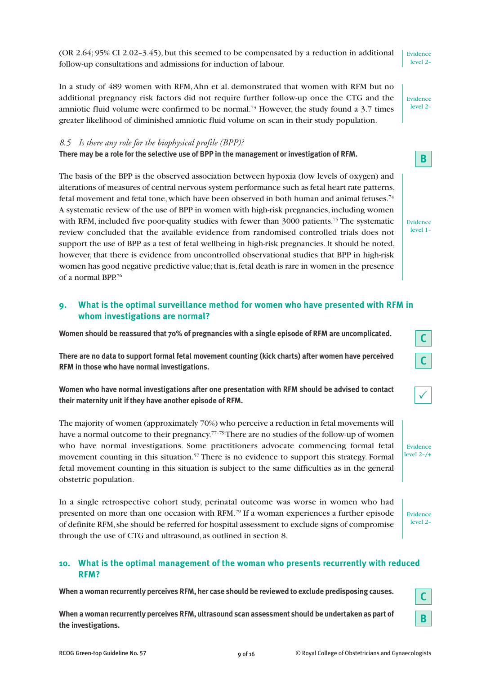(OR 2.64; 95% CI 2.02–3.45), but this seemed to be compensated by a reduction in additional follow-up consultations and admissions for induction of labour.

In a study of 489 women with RFM,Ahn et al. demonstrated that women with RFM but no additional pregnancy risk factors did not require further follow-up once the CTG and the amniotic fluid volume were confirmed to be normal.<sup>73</sup> However, the study found a 3.7 times greater likelihood of diminished amniotic fluid volume on scan in their study population.

#### *8.5 Is there any role for the biophysical profile (BPP)?*

**There may be a role for the selective use of BPP in the management or investigation of RFM.**

The basis of the BPP is the observed association between hypoxia (low levels of oxygen) and alterations of measures of central nervous system performance such as fetal heart rate patterns, fetal movement and fetal tone, which have been observed in both human and animal fetuses. $^{74}$ A systematic review of the use of BPP in women with high-risk pregnancies, including women with RFM, included five poor-quality studies with fewer than 3000 patients.<sup>75</sup> The systematic review concluded that the available evidence from randomised controlled trials does not support the use of BPP as a test of fetal wellbeing in high-risk pregnancies.It should be noted, however, that there is evidence from uncontrolled observational studies that BPP in high-risk women has good negative predictive value; that is, fetal death is rare in women in the presence of a normal BPP. 76

# **9. What is the optimal surveillance method for women who have presented with RFM in whom investigations are normal?**

**Women should be reassured that 70% of pregnancies with a single episode of RFM are uncomplicated.**

**There are no data to support formal fetal movement counting (kick charts) after women have perceived RFM in those who have normal investigations.**

**Women who have normal investigations after one presentation with RFM should be advised to contact their maternity unit if they have another episode of RFM.**

The majority of women (approximately 70%) who perceive a reduction in fetal movements will have a normal outcome to their pregnancy.<sup>77-79</sup>There are no studies of the follow-up of women who have normal investigations. Some practitioners advocate commencing formal fetal movement counting in this situation. <sup>57</sup> There is no evidence to support this strategy. Formal fetal movement counting in this situation is subject to the same difficulties as in the general obstetric population.

In a single retrospective cohort study, perinatal outcome was worse in women who had presented on more than one occasion with RFM. <sup>79</sup> If a woman experiences a further episode of definite RFM, she should be referred for hospital assessment to exclude signs of compromise through the use of CTG and ultrasound, as outlined in section 8.

# **10. What is the optimal management of the woman who presents recurrently with reduced RFM?**

**When a woman recurrently perceives RFM, her case should be reviewed to exclude predisposing causes.**

**When a woman recurrently perceives RFM, ultrasound scan assessment should be undertaken as part of the investigations.**



|--|

Evidence level 2–/+

Evidence level 2–

Evidence level 2–

Evidence level 2–

**B**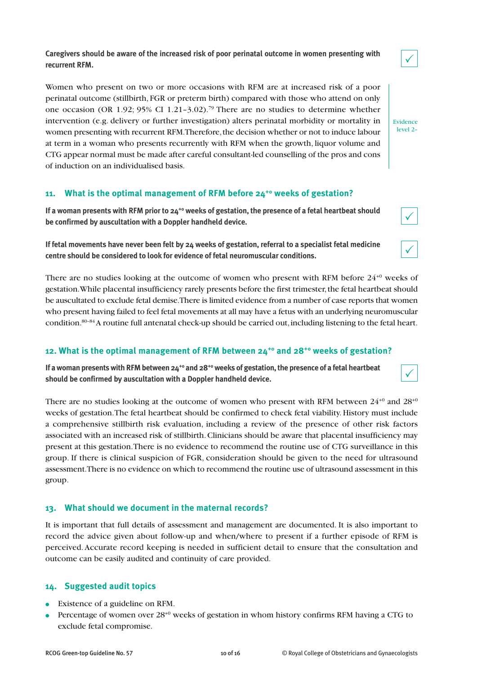**Caregivers should be aware of the increased risk of poor perinatal outcome in women presenting with recurrent RFM.**

Women who present on two or more occasions with RFM are at increased risk of a poor perinatal outcome (stillbirth, FGR or preterm birth) compared with those who attend on only one occasion (OR 1.92; 95% CI 1.21–3.02). <sup>79</sup> There are no studies to determine whether intervention (e.g. delivery or further investigation) alters perinatal morbidity or mortality in women presenting with recurrent RFM. Therefore, the decision whether or not to induce labour at term in a woman who presents recurrently with RFM when the growth, liquor volume and CTG appear normal must be made after careful consultant-led counselling of the pros and cons of induction on an individualised basis.

# **11. What is the optimal management of RFM before 24+0 weeks of gestation?**

If a woman presents with RFM prior to 24<sup>+0</sup> weeks of gestation, the presence of a fetal heartbeat should **be confirmed by auscultation with a Doppler handheld device.**

If fetal movements have never been felt by 24 weeks of gestation, referral to a specialist fetal medicine **centre should be considered to look for evidence of fetal neuromuscular conditions.**

There are no studies looking at the outcome of women who present with RFM before  $24^{+0}$  weeks of gestation.While placental insufficiency rarely presents before the first trimester,the fetal heartbeat should be auscultated to exclude fetal demise.There is limited evidence from a number of case reports that women who present having failed to feel fetal movements at all may have a fetus with an underlying neuromuscular condition. 80–84A routine full antenatal check-up should be carried out,including listening to the fetal heart.

#### **12. What is the optimal management of RFM between 24+0 and 28+0 weeks of gestation?**

If a woman presents with RFM between  $24^{+0}$  and  $28^{+0}$  weeks of gestation, the presence of a fetal heartbeat **should be confirmed by auscultation with a Doppler handheld device.**

There are no studies looking at the outcome of women who present with RFM between  $24^{+0}$  and  $28^{+0}$ weeks of gestation.The fetal heartbeat should be confirmed to check fetal viability. History must include a comprehensive stillbirth risk evaluation, including a review of the presence of other risk factors associated with an increased risk of stillbirth.Clinicians should be aware that placental insufficiency may present at this gestation.There is no evidence to recommend the routine use of CTG surveillance in this group. If there is clinical suspicion of FGR, consideration should be given to the need for ultrasound assessment.There is no evidence on which to recommend the routine use of ultrasound assessment in this group.

#### **13. What should we document in the maternal records?**

It is important that full details of assessment and management are documented. It is also important to record the advice given about follow-up and when/where to present if a further episode of RFM is perceived.Accurate record keeping is needed in sufficient detail to ensure that the consultation and outcome can be easily audited and continuity of care provided.

# **14. Suggested audit topics**

- **●** Existence of a guideline on RFM.
- **●** Percentage of women over 28+0 weeks of gestation in whom history confirms RFM having a CTG to exclude fetal compromise.



level 2–

 $\checkmark$ 

 $\checkmark$ 

Evidence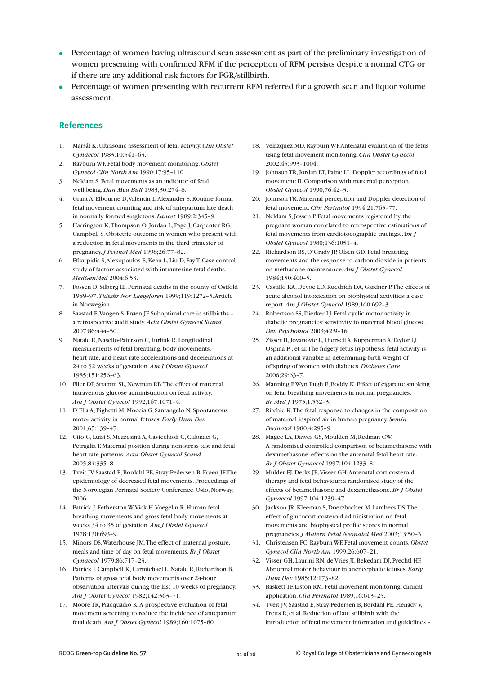- **●** Percentage of women having ultrasound scan assessment as part of the preliminary investigation of women presenting with confirmed RFM if the perception of RFM persists despite a normal CTG or if there are any additional risk factors for FGR/stillbirth.
- **●** Percentage of women presenting with recurrent RFM referred for a growth scan and liquor volume assessment.

#### **References**

- 1. Marsál K.Ultrasonic assessment of fetal activity.*Clin Obstet Gynaecol* 1983;10:541–63.
- 2. Rayburn WF. Fetal body movement monitoring. *Obstet Gynecol Clin North Am* 1990;17:95–110.
- 3. Neldam S. Fetal movements as an indicator of fetal well-being. *Dan Med Bull* 1983;30:274–8.
- 4. Grant A, Elbourne D,Valentin L,Alexander S.Routine formal fetal movement counting and risk of antepartum late death in normally formed singletons. *Lancet* 1989;2:345–9.
- 5. Harrington K, Thompson O, Jordan L, Page J, Carpenter RG, Campbell S.Obstetric outcome in women who present with a reduction in fetal movements in the third trimester of pregnancy.*J Perinat Med* 1998;26:77–82.
- 6. Efkarpidis S,Alexopoulos E,Kean L, Liu D, FayT.Case-control study of factors associated with intrauterine fetal deaths. *MedGenMed* 2004;6:53.
- 7. Fossen D, Silberg IE. Perinatal deaths in the county of Ostfold 1989–97. *Tidsskr Nor Laegeforen* 1999;119:1272–5.Article in Norwegian.
- 8. Saastad E,Vangen S, Frøen JF. Suboptimal care in stillbirths a retrospective audit study.*Acta Obstet Gynecol Scand* 2007;86:444–50.
- 9. Natale R, Nasello-Paterson C,Turliuk R. Longitudinal measurements of fetal breathing, body movements, heart rate, and heart rate accelerations and decelerations at 24 to 32 weeks of gestation.*Am J Obstet Gynecol* 1985;151:256–63.
- 10. Eller DP, Stramm SL, Newman RB.The effect of maternal intravenous glucose administration on fetal activity. *Am J Obstet Gynecol* 1992;167:1071–4.
- 11. D'Elia A, Pighetti M, Moccia G, Santangelo N. Spontaneous motor activity in normal fetuses. *Early Hum Dev* 2001;65:139–47.
- 12. Cito G, Luisi S, Mezzesimi A,Cavicchioli C,Calonaci G, Petraglia F. Maternal position during non-stress test and fetal heart rate patterns. *Acta Obstet Gynecol Scand* 2005;84:335–8.
- 13. Tveit JV, Saastad E, Bordahl PE, Stray-Pedersen B, Frøen JF.The epidemiology of decreased fetal movements. Proceedings of the Norwegian Perinatal Society Conference. Oslo, Norway; 2006.
- 14. Patrick J, Fetherston W,Vick H,Voegelin R. Human fetal breathing movements and gross fetal body movements at weeks 34 to 35 of gestation.*Am J Obstet Gynecol* 1978;130:693–9.
- 15. Minors DS,Waterhouse JM.The effect of maternal posture, meals and time of day on fetal movements.*Br J Obstet Gynaecol* 1979;86:717–23.
- 16. Patrick J,Campbell K,Carmichael L, Natale R,Richardson B. Patterns of gross fetal body movements over 24-hour observation intervals during the last 10 weeks of pregnancy. *Am J Obstet Gynecol* 1982;142:363–71.
- 17. MooreTR, Piacquadio K.A prospective evaluation of fetal movement screening to reduce the incidence of antepartum fetal death.*Am J Obstet Gynecol* 1989;160:1075–80.
- 18. Velazquez MD,Rayburn WF.Antenatal evaluation of the fetus using fetal movement monitoring.*Clin Obstet Gynecol* 2002;45:993–1004.
- 19. JohnsonTR,Jordan ET, Paine LL. Doppler recordings of fetal movement:II.Comparison with maternal perception. *Obstet Gynecol* 1990;76:42–3.
- 20. JohnsonTR. Maternal perception and Doppler detection of fetal movement.*Clin Perinatol* 1994;21:765–77.
- 21. Neldam S, Jessen P. Fetal movements registered by the pregnant woman correlated to retrospective estimations of fetal movements from cardiotocographic tracings.*Am J Obstet Gynecol* 1980;136:1051–4.
- 22. Richardson BS,O'Grady JP,Olsen GD. Fetal breathing movements and the response to carbon dioxide in patients on methadone maintenance.*Am J Obstet Gynecol* 1984;150:400–5.
- 23. Castillo RA, Devoe LD,Ruedrich DA, Gardner P.The effects of acute alcohol intoxication on biophysical activities: a case report.*Am J Obstet Gynecol* 1989;160:692–3.
- 24. Robertson SS, Dierker LJ. Fetal cyclic motor activity in diabetic pregnancies: sensitivity to maternal blood glucose. *Dev Psychobiol* 2003;42:9–16.
- 25. Zisser H,Jovanovic L,Thorsell A,Kupperman A,Taylor LJ, Ospina P, et al. The fidgety fetus hypothesis: fetal activity is an additional variable in determining birth weight of offspring of women with diabetes. *Diabetes Care* 2006;29:63–7.
- 26. Manning F,Wyn Pugh E, Boddy K. Effect of cigarette smoking on fetal breathing movements in normal pregnancies. *Br Med J* 1975;1:552–3.
- 27. Ritchie K.The fetal response to changes in the composition of maternal inspired air in human pregnancy. *Semin Perinatol* 1980;4:295–9.
- 28. Magee LA, Dawes GS, Moulden M, Redman CW. A randomised controlled comparison of betamethasone with dexamethasone: effects on the antenatal fetal heart rate. *Br J Obstet Gynaecol* 1997;104:1233–8.
- 29. Mulder EJ, Derks JB,Visser GH.Antenatal corticosteroid therapy and fetal behaviour: a randomised study of the effects of betamethasone and dexamethasone.*Br J Obstet Gynaecol* 1997;104:1239–47.
- 30. Jackson JR,Kleeman S, Doerzbacher M, Lambers DS.The effect of glucocorticosteroid administration on fetal movements and biophysical profile scores in normal pregnancies.*J Matern Fetal Neonatal Med* 2003;13:50–3.
- 31. Christensen FC,Rayburn WF. Fetal movement counts. *Obstet Gynecol Clin North Am* 1999;26:607–21.
- 32. Visser GH, Laurini RN, de Vries JI, Bekedam DJ, Prechtl HF. Abnormal motor behaviour in anencephalic fetuses. *Early Hum Dev* 1985;12:173–82.
- 33. BaskettTF, Liston RM. Fetal movement monitoring: clinical application.*Clin Perinatol* 1989;16:613–25.
- 34. Tveit JV, Saastad E, Stray-Pedersen B, Børdahl PE, Flenady V, Fretts R, et al. Reduction of late stillbirth with the introduction of fetal movement information and guidelines –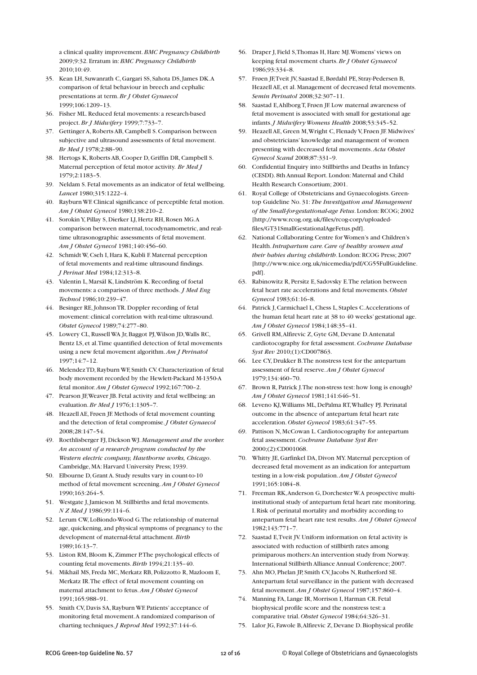a clinical quality improvement.*BMC Pregnancy Childbirth* 2009;9:32. Erratum in:*BMC Pregnancy Childbirth* 2010;10:49.

- 35. Kean LH, Suwanrath C, Gargari SS, Sahota DS,James DK.A comparison of fetal behaviour in breech and cephalic presentations at term.*Br J Obstet Gynaecol* 1999;106:1209–13.
- 36. Fisher ML.Reduced fetal movements: a research-based project.*Br J Midwifery* 1999;7:733–7.
- 37. Gettinger A,Roberts AB,Campbell S.Comparison between subjective and ultrasound assessments of fetal movement. *Br Med J* 1978;2:88–90.
- 38. Hertogs K,Roberts AB,Cooper D, Griffin DR,Campbell S. Maternal perception of fetal motor activity. *Br Med J* 1979;2:1183–5.
- 39. Neldam S. Fetal movements as an indicator of fetal wellbeing. *Lancet* 1980;315:1222–4.
- 40. Rayburn WF.Clinical significance of perceptible fetal motion. *Am J Obstet Gynecol* 1980;138:210–2.
- 41. Sorokin Y, Pillay S, Dierker LJ, Hertz RH, Rosen MG.A comparison between maternal, tocodynamometric, and realtime ultrasonographic assessments of fetal movement. *Am J Obstet Gynecol* 1981;140:456–60.
- 42. Schmidt W,Cseh I, Hara K,Kubli F. Maternal perception of fetal movements and real-time ultrasound findings. *J Perinat Med* 1984;12:313–8.
- 43. Valentin L, Marsál K, Lindström K.Recording of foetal movements: a comparison of three methods. *J Med Eng Technol* 1986;10:239–47.
- 44. Besinger RE,JohnsonTR. Doppler recording of fetal movement: clinical correlation with real-time ultrasound. *Obstet Gynecol* 1989;74:277–80.
- 45. Lowery CL,Russell WA Jr, Baggot PJ,Wilson JD,Walls RC, Bentz LS, et al.Time quantified detection of fetal movements using a new fetal movement algorithm.*Am J Perinatol*  $1997:14:7-12$ .
- 46. MelendezTD,Rayburn WF, Smith CV.Characterization of fetal body movement recorded by the Hewlett-Packard M-1350-A fetal monitor.*Am J Obstet Gynecol* 1992;167:700–2.
- 47. Pearson JF,Weaver JB. Fetal activity and fetal wellbeing: an evaluation.*Br Med J* 1976;1:1305–7.
- 48. Heazell AE, Frøen JF. Methods of fetal movement counting and the detection of fetal compromise.*J Obstet Gynaecol* 2008;28:147–54.
- 49. Roethlisberger FJ, Dickson WJ. *Management and the worker. An account of a research program conducted by the Western electric company, Hawthorne works, Chicago*. Cambridge, MA: Harvard University Press; 1939.
- 50. Elbourne D, Grant A. Study results vary in count-to-10 method of fetal movement screening.*Am J Obstet Gynecol* 1990;163:264–5.
- 51. Westgate J,Jamieson M. Stillbirths and fetal movements. *N Z Med J* 1986;99:114–6.
- 52. Lerum CW, LoBiondo-Wood G.The relationship of maternal age, quickening, and physical symptoms of pregnancy to the development of maternal-fetal attachment.*Birth* 1989;16:13–7.
- 53. Liston RM, Bloom K,Zimmer P.The psychological effects of counting fetal movements.*Birth* 1994;21:135–40.
- 54. Mikhail MS, Freda MC, Merkatz RB, Polizzotto R, Mazloom E, Merkatz IR.The effect of fetal movement counting on maternal attachment to fetus.*Am J Obstet Gynecol* 1991;165:988–91.
- 55. Smith CV, Davis SA,Rayburn WF. Patients' acceptance of monitoring fetal movement.A randomized comparison of charting techniques.*J Reprod Med* 1992;37:144–6.
- 56. Draper J, Field S,Thomas H, Hare MJ.Womens' views on keeping fetal movement charts.*Br J Obstet Gynaecol* 1986;93:334–8.
- 57. Frøen JF,Tveit JV, Saastad E, Børdahl PE, Stray-Pedersen B, Heazell AE, et al. Management of decreased fetal movements. *Semin Perinatol* 2008;32:307–11.
- 58. Saastad E,AhlborgT, Frøen JF. Low maternal awareness of fetal movement is associated with small for gestational age infants.*J Midwifery Womens Health* 2008;53:345–52.
- 59. Heazell AE, Green M,Wright C, Flenady V, Frøen JF. Midwives' and obstetricians' knowledge and management of women presenting with decreased fetal movements.*Acta Obstet Gynecol Scand* 2008;87:331–9.
- 60. Confidential Enquiry into Stillbirths and Deaths in Infancy (CESDI). 8th Annual Report. London: Maternal and Child Health Research Consortium; 2001.
- 61. Royal College of Obstetricians and Gynaecologists. Greentop Guideline No. 31: *The Investigation and Management of the Small-for-gestational-age Fetus*. London:RCOG; 2002 [http://www.rcog.org.uk/files/rcog-corp/uploadedfiles/GT31SmallGestationalAgeFetus.pdf].
- 62. National Collaborating Centre for Women's and Children's Health.*Intrapartum care.Care of healthy women and their babies during childbirth*. London:RCOG Press; 2007 [http://www.nice.org.uk/nicemedia/pdf/CG55FullGuideline. pdf].
- 63. Rabinowitz R, Persitz E, Sadovsky E.The relation between fetal heart rate accelerations and fetal movements. *Obstet Gynecol* 1983;61:16–8.
- 64. Patrick J,Carmichael L,Chess L, Staples C.Accelerations of the human fetal heart rate at 38 to 40 weeks' gestational age. *Am J Obstet Gynecol* 1984;148:35–41.
- 65. Grivell RM,Alfirevic Z, Gyte GM, Devane D.Antenatal cardiotocography for fetal assessment.*Cochrane Database Syst Rev* 2010;(1):CD007863.
- 66. Lee CY, Drukker B.The nonstress test for the antepartum assessment of fetal reserve.*Am J Obstet Gynecol* 1979;134:460–70.
- 67. Brown R, Patrick J.The non-stress test: how long is enough? *Am J Obstet Gynecol* 1981;141:646–51.
- 68. Leveno KJ,Williams ML, DePalma RT,Whalley PJ. Perinatal outcome in the absence of antepartum fetal heart rate acceleration. *Obstet Gynecol* 1983;61:347–55.
- 69. Pattison N, McCowan L.Cardiotocography for antepartum fetal assessment.*Cochrane Database Syst Rev* 2000;(2):CD001068.
- 70. Whitty JE, Garfinkel DA, Divon MY. Maternal perception of decreased fetal movement as an indication for antepartum testing in a low-risk population.*Am J Obstet Gynecol* 1991;165:1084–8.
- 71. Freeman RK,Anderson G, Dorchester W.A prospective multiinstitutional study of antepartum fetal heart rate monitoring. I.Risk of perinatal mortality and morbidity according to antepartum fetal heart rate test results. *Am J Obstet Gynecol* 1982;143:771–7.
- 72. Saastad E,Tveit JV.Uniform information on fetal activity is associated with reduction of stillbirth rates among primiparous mothers:An intervention study from Norway. International Stillbirth Alliance Annual Conference; 2007.
- 73. Ahn MO, Phelan JP, Smith CV, Jacobs N, Rutherford SE. Antepartum fetal surveillance in the patient with decreased fetal movement.*Am J Obstet Gynecol* 1987;157:860–4.
- 74. Manning FA, Lange IR, Morrison I, Harman CR. Fetal biophysical profile score and the nonstress test: a comparative trial. *Obstet Gynecol* 1984;64:326–31.
- 75. Lalor JG, Fawole B,Alfirevic Z, Devane D. Biophysical profile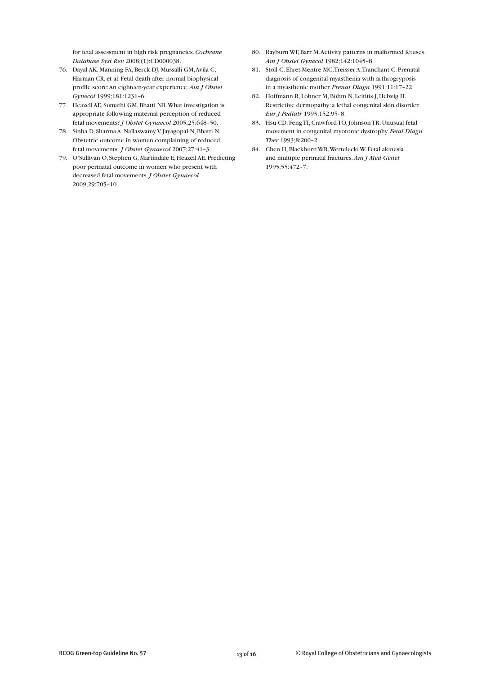for fetal assessment in high risk pregnancies.*Cochrane Database Syst Rev* 2008;(1):CD000038.

- 76. Dayal AK, Manning FA, Berck DJ, Mussalli GM,Avila C, Harman CR, et al. Fetal death after normal biophysical profile score:An eighteen-year experience.*Am J Obstet Gynecol* 1999;181:1231–6.
- 77. Heazell AE, Sumathi GM, Bhatti NR.What investigation is appropriate following maternal perception of reduced fetal movements? *J Obstet Gynaecol* 2005;25:648–50.
- 78. Sinha D, Sharma A, Nallaswamy V,Jayagopal N, Bhatti N. Obstetric outcome in women complaining of reduced fetal movements. *J Obstet Gynaecol* 2007;27:41–3.
- 79. O'Sullivan O, Stephen G, Martindale E, Heazell AE. Predicting poor perinatal outcome in women who present with decreased fetal movements.*J Obstet Gynaecol* 2009;29:705–10.
- 80. Rayburn WF, Barr M.Activity patterns in malformed fetuses. *Am J Obstet Gynecol* 1982;142:1045–8.
- 81. Stoll C, Ehret-Mentre MC,Treisser A,Tranchant C. Prenatal diagnosis of congenital myasthenia with arthrogryposis in a myasthenic mother.*Prenat Diagn* 1991;11:17–22.
- 82. Hoffmann R, Lohner M, Böhm N, Leititis J, Helwig H. Restrictive dermopathy: a lethal congenital skin disorder. *Eur J Pediatr* 1993;152:95–8.
- 83. Hsu CD, FengTI,CrawfordTO,JohnsonTR.Unusual fetal movement in congenital myotonic dystrophy. *Fetal Diagn Ther* 1993;8:200–2.
- 84. Chen H, Blackburn WR,Wertelecki W. Fetal akinesia and multiple perinatal fractures.*Am J Med Genet* 1995;55:472–7.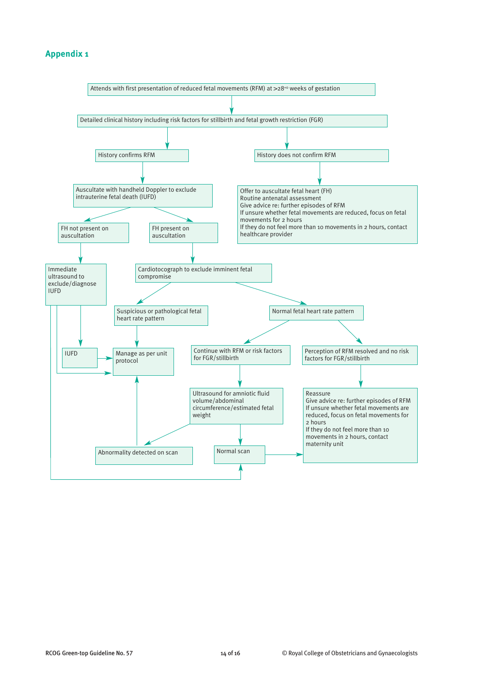# **Appendix 1**

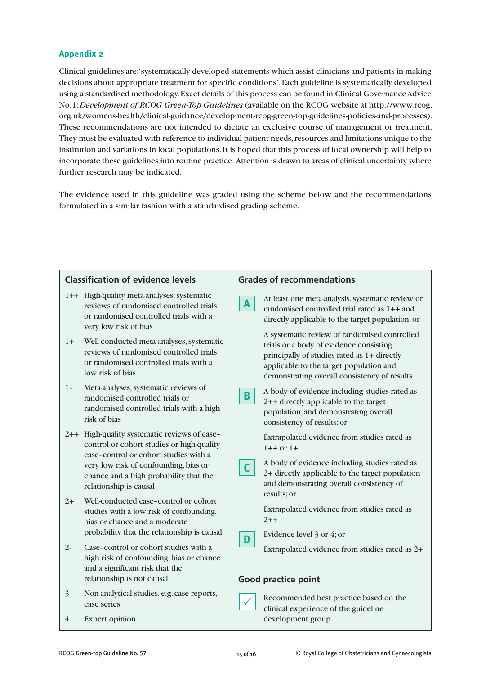# **Appendix 2**

Clinical guidelines are:'systematically developed statements which assist clinicians and patients in making decisions about appropriate treatment for specific conditions'.Each guideline is systematically developed using a standardised methodology.Exact details of this process can be found in Clinical GovernanceAdvice No.1:*Development of RCOG Green-Top Guidelines* (available on the RCOG website at http://www.rcog. org.uk/womens-health/clinical-guidance/development-rcog-green-top-guidelines-policies-and-processes). These recommendations are not intended to dictate an exclusive course of management or treatment. They must be evaluated with reference to individual patient needs,resources and limitations unique to the institution and variations in local populations.It is hoped that this process of local ownership will help to incorporate these guidelines into routine practice. Attention is drawn to areas of clinical uncertainty where further research may be indicated.

The evidence used in this guideline was graded using the scheme below and the recommendations formulated in a similar fashion with a standardised grading scheme.

| <b>Classification of evidence levels</b>                                                                                                                    | <b>Grades of recommendations</b>                                                                    |  |
|-------------------------------------------------------------------------------------------------------------------------------------------------------------|-----------------------------------------------------------------------------------------------------|--|
| 1++ High-quality meta-analyses, systematic                                                                                                                  | At least one meta-analysis, systematic review or                                                    |  |
| reviews of randomised controlled trials                                                                                                                     | A                                                                                                   |  |
| or randomised controlled trials with a                                                                                                                      | randomised controlled trial rated as 1++ and                                                        |  |
| very low risk of bias                                                                                                                                       | directly applicable to the target population; or                                                    |  |
| $1+$                                                                                                                                                        | A systematic review of randomised controlled                                                        |  |
| Well-conducted meta-analyses, systematic                                                                                                                    | trials or a body of evidence consisting                                                             |  |
| reviews of randomised controlled trials                                                                                                                     | principally of studies rated as 1+ directly                                                         |  |
| or randomised controlled trials with a                                                                                                                      | applicable to the target population and                                                             |  |
| low risk of bias                                                                                                                                            | demonstrating overall consistency of results                                                        |  |
| Meta-analyses, systematic reviews of                                                                                                                        | A body of evidence including studies rated as                                                       |  |
| $1 -$                                                                                                                                                       | B.                                                                                                  |  |
| randomised controlled trials or                                                                                                                             | 2++ directly applicable to the target                                                               |  |
| randomised controlled trials with a high                                                                                                                    | population, and demonstrating overall                                                               |  |
| risk of bias                                                                                                                                                | consistency of results; or                                                                          |  |
| 2++ High-quality systematic reviews of case-                                                                                                                | Extrapolated evidence from studies rated as                                                         |  |
| control or cohort studies or high-quality                                                                                                                   | $1++$ or $1+$                                                                                       |  |
| case-control or cohort studies with a                                                                                                                       | A body of evidence including studies rated as                                                       |  |
| very low risk of confounding, bias or                                                                                                                       | $\mathsf{C}$                                                                                        |  |
| chance and a high probability that the                                                                                                                      | 2+ directly applicable to the target population                                                     |  |
| relationship is causal                                                                                                                                      | and demonstrating overall consistency of                                                            |  |
| Well-conducted case-control or cohort                                                                                                                       | results; or                                                                                         |  |
| $2+$                                                                                                                                                        | Extrapolated evidence from studies rated as                                                         |  |
| studies with a low risk of confounding,                                                                                                                     | $2 + +$                                                                                             |  |
| bias or chance and a moderate                                                                                                                               | Evidence level 3 or 4; or                                                                           |  |
| probability that the relationship is causal                                                                                                                 | D                                                                                                   |  |
| Case-control or cohort studies with a<br>$2 -$<br>high risk of confounding, bias or chance<br>and a significant risk that the<br>relationship is not causal | Extrapolated evidence from studies rated as 2+<br><b>Good practice point</b>                        |  |
| Non-analytical studies, e.g. case reports,<br>$\overline{3}$<br>case series<br><b>Expert opinion</b><br>4                                                   | Recommended best practice based on the<br>clinical experience of the guideline<br>development group |  |